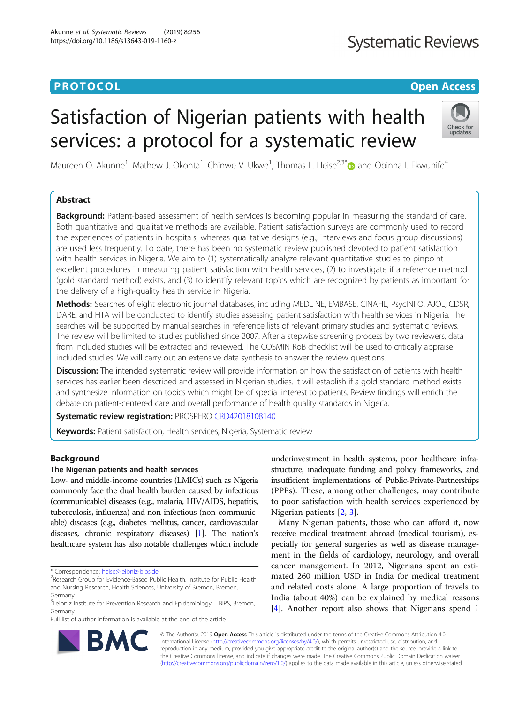# <span id="page-0-0"></span>**PROTOCOL CONSUMING THE OPEN ACCESS**

# **Systematic Reviews**

# Satisfaction of Nigerian patients with health services: a protocol for a systematic review



Maureen O. Akunne<sup>1</sup>, Mathew J. Okonta<sup>1</sup>, Chinwe V. Ukwe<sup>1</sup>, Thomas L. Heise<sup>2,3[\\*](http://orcid.org/0000-0003-0482-7657)</sup>@ and Obinna I. Ekwunife<sup>4</sup>

# Abstract

Background: Patient-based assessment of health services is becoming popular in measuring the standard of care. Both quantitative and qualitative methods are available. Patient satisfaction surveys are commonly used to record the experiences of patients in hospitals, whereas qualitative designs (e.g., interviews and focus group discussions) are used less frequently. To date, there has been no systematic review published devoted to patient satisfaction with health services in Nigeria. We aim to (1) systematically analyze relevant quantitative studies to pinpoint excellent procedures in measuring patient satisfaction with health services, (2) to investigate if a reference method (gold standard method) exists, and (3) to identify relevant topics which are recognized by patients as important for the delivery of a high-quality health service in Nigeria.

Methods: Searches of eight electronic journal databases, including MEDLINE, EMBASE, CINAHL, PsycINFO, AJOL, CDSR, DARE, and HTA will be conducted to identify studies assessing patient satisfaction with health services in Nigeria. The searches will be supported by manual searches in reference lists of relevant primary studies and systematic reviews. The review will be limited to studies published since 2007. After a stepwise screening process by two reviewers, data from included studies will be extracted and reviewed. The COSMIN RoB checklist will be used to critically appraise included studies. We will carry out an extensive data synthesis to answer the review questions.

**Discussion:** The intended systematic review will provide information on how the satisfaction of patients with health services has earlier been described and assessed in Nigerian studies. It will establish if a gold standard method exists and synthesize information on topics which might be of special interest to patients. Review findings will enrich the debate on patient-centered care and overall performance of health quality standards in Nigeria.

Systematic review registration: PROSPERO [CRD42018108140](https://www.crd.york.ac.uk/prospero/display_record.php?ID=CRD42018108140)

Keywords: Patient satisfaction, Health services, Nigeria, Systematic review

# Background

# The Nigerian patients and health services

Low- and middle-income countries (LMICs) such as Nigeria commonly face the dual health burden caused by infectious (communicable) diseases (e.g., malaria, HIV/AIDS, hepatitis, tuberculosis, influenza) and non-infectious (non-communicable) diseases (e.g., diabetes mellitus, cancer, cardiovascular diseases, chronic respiratory diseases) [\[1\]](#page-4-0). The nation's healthcare system has also notable challenges which include

Full list of author information is available at the end of the article

underinvestment in health systems, poor healthcare infrastructure, inadequate funding and policy frameworks, and insufficient implementations of Public-Private-Partnerships (PPPs). These, among other challenges, may contribute to poor satisfaction with health services experienced by Nigerian patients [[2,](#page-4-0) [3\]](#page-4-0).

Many Nigerian patients, those who can afford it, now receive medical treatment abroad (medical tourism), especially for general surgeries as well as disease management in the fields of cardiology, neurology, and overall cancer management. In 2012, Nigerians spent an estimated 260 million USD in India for medical treatment and related costs alone. A large proportion of travels to India (about 40%) can be explained by medical reasons [[4\]](#page-4-0). Another report also shows that Nigerians spend 1



© The Author(s). 2019 Open Access This article is distributed under the terms of the Creative Commons Attribution 4.0 International License [\(http://creativecommons.org/licenses/by/4.0/](http://creativecommons.org/licenses/by/4.0/)), which permits unrestricted use, distribution, and reproduction in any medium, provided you give appropriate credit to the original author(s) and the source, provide a link to the Creative Commons license, and indicate if changes were made. The Creative Commons Public Domain Dedication waiver [\(http://creativecommons.org/publicdomain/zero/1.0/](http://creativecommons.org/publicdomain/zero/1.0/)) applies to the data made available in this article, unless otherwise stated.

<sup>\*</sup> Correspondence: [heise@leibniz-bips.de](mailto:heise@leibniz-bips.de) <sup>2</sup>

<sup>&</sup>lt;sup>2</sup>Research Group for Evidence-Based Public Health, Institute for Public Health and Nursing Research, Health Sciences, University of Bremen, Bremen, Germany

<sup>&</sup>lt;sup>3</sup>Leibniz Institute for Prevention Research and Epidemiology – BIPS, Bremen, Germany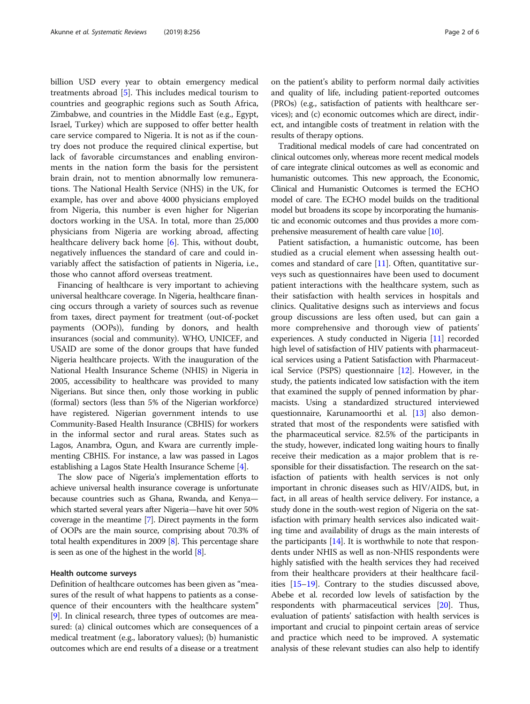billion USD every year to obtain emergency medical treatments abroad [[5\]](#page-4-0). This includes medical tourism to countries and geographic regions such as South Africa, Zimbabwe, and countries in the Middle East (e.g., Egypt, Israel, Turkey) which are supposed to offer better health care service compared to Nigeria. It is not as if the country does not produce the required clinical expertise, but lack of favorable circumstances and enabling environments in the nation form the basis for the persistent brain drain, not to mention abnormally low remunerations. The National Health Service (NHS) in the UK, for example, has over and above 4000 physicians employed from Nigeria, this number is even higher for Nigerian doctors working in the USA. In total, more than 25,000 physicians from Nigeria are working abroad, affecting healthcare delivery back home [[6\]](#page-4-0). This, without doubt, negatively influences the standard of care and could invariably affect the satisfaction of patients in Nigeria, i.e., those who cannot afford overseas treatment.

Financing of healthcare is very important to achieving universal healthcare coverage. In Nigeria, healthcare financing occurs through a variety of sources such as revenue from taxes, direct payment for treatment (out-of-pocket payments (OOPs)), funding by donors, and health insurances (social and community). WHO, UNICEF, and USAID are some of the donor groups that have funded Nigeria healthcare projects. With the inauguration of the National Health Insurance Scheme (NHIS) in Nigeria in 2005, accessibility to healthcare was provided to many Nigerians. But since then, only those working in public (formal) sectors (less than 5% of the Nigerian workforce) have registered. Nigerian government intends to use Community-Based Health Insurance (CBHIS) for workers in the informal sector and rural areas. States such as Lagos, Anambra, Ogun, and Kwara are currently implementing CBHIS. For instance, a law was passed in Lagos establishing a Lagos State Health Insurance Scheme [\[4](#page-4-0)].

The slow pace of Nigeria's implementation efforts to achieve universal health insurance coverage is unfortunate because countries such as Ghana, Rwanda, and Kenya which started several years after Nigeria—have hit over 50% coverage in the meantime [\[7\]](#page-4-0). Direct payments in the form of OOPs are the main source, comprising about 70.3% of total health expenditures in 2009 [\[8\]](#page-4-0). This percentage share is seen as one of the highest in the world [[8](#page-4-0)].

#### Health outcome surveys

Definition of healthcare outcomes has been given as "measures of the result of what happens to patients as a consequence of their encounters with the healthcare system" [[9\]](#page-4-0). In clinical research, three types of outcomes are measured: (a) clinical outcomes which are consequences of a medical treatment (e.g., laboratory values); (b) humanistic outcomes which are end results of a disease or a treatment on the patient's ability to perform normal daily activities and quality of life, including patient-reported outcomes (PROs) (e.g., satisfaction of patients with healthcare services); and (c) economic outcomes which are direct, indirect, and intangible costs of treatment in relation with the results of therapy options.

Traditional medical models of care had concentrated on clinical outcomes only, whereas more recent medical models of care integrate clinical outcomes as well as economic and humanistic outcomes. This new approach, the Economic, Clinical and Humanistic Outcomes is termed the ECHO model of care. The ECHO model builds on the traditional model but broadens its scope by incorporating the humanistic and economic outcomes and thus provides a more comprehensive measurement of health care value [\[10\]](#page-4-0).

Patient satisfaction, a humanistic outcome, has been studied as a crucial element when assessing health outcomes and standard of care [\[11\]](#page-5-0). Often, quantitative surveys such as questionnaires have been used to document patient interactions with the healthcare system, such as their satisfaction with health services in hospitals and clinics. Qualitative designs such as interviews and focus group discussions are less often used, but can gain a more comprehensive and thorough view of patients' experiences. A study conducted in Nigeria [[11](#page-5-0)] recorded high level of satisfaction of HIV patients with pharmaceutical services using a Patient Satisfaction with Pharmaceutical Service (PSPS) questionnaire [[12](#page-5-0)]. However, in the study, the patients indicated low satisfaction with the item that examined the supply of penned information by pharmacists. Using a standardized structured interviewed questionnaire, Karunamoorthi et al. [[13](#page-5-0)] also demonstrated that most of the respondents were satisfied with the pharmaceutical service. 82.5% of the participants in the study, however, indicated long waiting hours to finally receive their medication as a major problem that is responsible for their dissatisfaction. The research on the satisfaction of patients with health services is not only important in chronic diseases such as HIV/AIDS, but, in fact, in all areas of health service delivery. For instance, a study done in the south-west region of Nigeria on the satisfaction with primary health services also indicated waiting time and availability of drugs as the main interests of the participants  $[14]$ . It is worthwhile to note that respondents under NHIS as well as non-NHIS respondents were highly satisfied with the health services they had received from their healthcare providers at their healthcare facilities [\[15](#page-5-0)–[19](#page-5-0)]. Contrary to the studies discussed above, Abebe et al. recorded low levels of satisfaction by the respondents with pharmaceutical services [\[20\]](#page-5-0). Thus, evaluation of patients' satisfaction with health services is important and crucial to pinpoint certain areas of service and practice which need to be improved. A systematic analysis of these relevant studies can also help to identify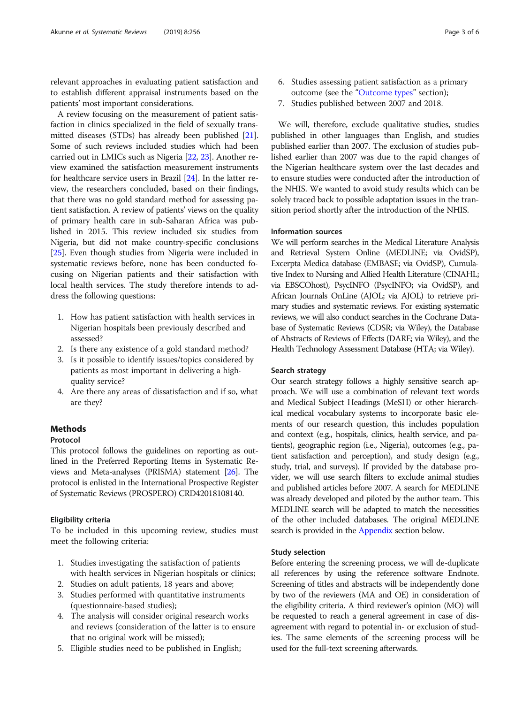relevant approaches in evaluating patient satisfaction and to establish different appraisal instruments based on the patients' most important considerations.

A review focusing on the measurement of patient satisfaction in clinics specialized in the field of sexually transmitted diseases (STDs) has already been published [[21](#page-5-0)]. Some of such reviews included studies which had been carried out in LMICs such as Nigeria [\[22,](#page-5-0) [23](#page-5-0)]. Another review examined the satisfaction measurement instruments for healthcare service users in Brazil [[24](#page-5-0)]. In the latter review, the researchers concluded, based on their findings, that there was no gold standard method for assessing patient satisfaction. A review of patients' views on the quality of primary health care in sub-Saharan Africa was published in 2015. This review included six studies from Nigeria, but did not make country-specific conclusions [[25](#page-5-0)]. Even though studies from Nigeria were included in systematic reviews before, none has been conducted focusing on Nigerian patients and their satisfaction with local health services. The study therefore intends to address the following questions:

- 1. How has patient satisfaction with health services in Nigerian hospitals been previously described and assessed?
- 2. Is there any existence of a gold standard method?
- 3. Is it possible to identify issues/topics considered by patients as most important in delivering a highquality service?
- 4. Are there any areas of dissatisfaction and if so, what are they?

## Methods

#### Protocol

This protocol follows the guidelines on reporting as outlined in the Preferred Reporting Items in Systematic Reviews and Meta-analyses (PRISMA) statement [\[26\]](#page-5-0). The protocol is enlisted in the International Prospective Register of Systematic Reviews (PROSPERO) CRD42018108140.

### Eligibility criteria

To be included in this upcoming review, studies must meet the following criteria:

- 1. Studies investigating the satisfaction of patients with health services in Nigerian hospitals or clinics;
- 2. Studies on adult patients, 18 years and above;
- 3. Studies performed with quantitative instruments (questionnaire-based studies);
- 4. The analysis will consider original research works and reviews (consideration of the latter is to ensure that no original work will be missed);
- 5. Eligible studies need to be published in English;
- 6. Studies assessing patient satisfaction as a primary outcome (see the "[Outcome types](#page-3-0)" section);
- 7. Studies published between 2007 and 2018.

We will, therefore, exclude qualitative studies, studies published in other languages than English, and studies published earlier than 2007. The exclusion of studies published earlier than 2007 was due to the rapid changes of the Nigerian healthcare system over the last decades and to ensure studies were conducted after the introduction of the NHIS. We wanted to avoid study results which can be solely traced back to possible adaptation issues in the transition period shortly after the introduction of the NHIS.

#### Information sources

We will perform searches in the Medical Literature Analysis and Retrieval System Online (MEDLINE; via OvidSP), Excerpta Medica database (EMBASE; via OvidSP), Cumulative Index to Nursing and Allied Health Literature (CINAHL; via EBSCOhost), PsycINFO (PsycINFO; via OvidSP), and African Journals OnLine (AJOL; via AJOL) to retrieve primary studies and systematic reviews. For existing systematic reviews, we will also conduct searches in the Cochrane Database of Systematic Reviews (CDSR; via Wiley), the Database of Abstracts of Reviews of Effects (DARE; via Wiley), and the Health Technology Assessment Database (HTA; via Wiley).

#### Search strategy

Our search strategy follows a highly sensitive search approach. We will use a combination of relevant text words and Medical Subject Headings (MeSH) or other hierarchical medical vocabulary systems to incorporate basic elements of our research question, this includes population and context (e.g., hospitals, clinics, health service, and patients), geographic region (i.e., Nigeria), outcomes (e.g., patient satisfaction and perception), and study design (e.g., study, trial, and surveys). If provided by the database provider, we will use search filters to exclude animal studies and published articles before 2007. A search for MEDLINE was already developed and piloted by the author team. This MEDLINE search will be adapted to match the necessities of the other included databases. The original MEDLINE search is provided in the Appendix section below.

#### Study selection

Before entering the screening process, we will de-duplicate all references by using the reference software Endnote. Screening of titles and abstracts will be independently done by two of the reviewers (MA and OE) in consideration of the eligibility criteria. A third reviewer's opinion (MO) will be requested to reach a general agreement in case of disagreement with regard to potential in- or exclusion of studies. The same elements of the screening process will be used for the full-text screening afterwards.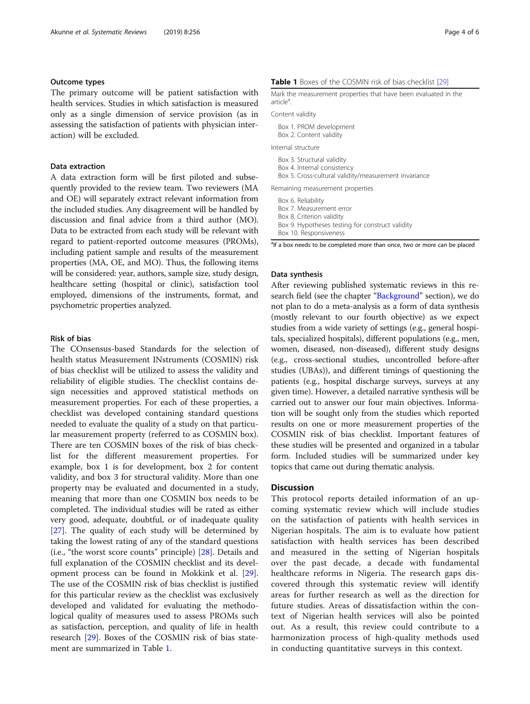#### <span id="page-3-0"></span>Outcome types

The primary outcome will be patient satisfaction with health services. Studies in which satisfaction is measured only as a single dimension of service provision (as in assessing the satisfaction of patients with physician interaction) will be excluded.

#### Data extraction

A data extraction form will be first piloted and subsequently provided to the review team. Two reviewers (MA and OE) will separately extract relevant information from the included studies. Any disagreement will be handled by discussion and final advice from a third author (MO). Data to be extracted from each study will be relevant with regard to patient-reported outcome measures (PROMs), including patient sample and results of the measurement properties (MA, OE, and MO). Thus, the following items will be considered: year, authors, sample size, study design, healthcare setting (hospital or clinic), satisfaction tool employed, dimensions of the instruments, format, and psychometric properties analyzed.

#### Risk of bias

The COnsensus-based Standards for the selection of health status Measurement INstruments (COSMIN) risk of bias checklist will be utilized to assess the validity and reliability of eligible studies. The checklist contains design necessities and approved statistical methods on measurement properties. For each of these properties, a checklist was developed containing standard questions needed to evaluate the quality of a study on that particular measurement property (referred to as COSMIN box). There are ten COSMIN boxes of the risk of bias checklist for the different measurement properties. For example, box 1 is for development, box 2 for content validity, and box 3 for structural validity. More than one property may be evaluated and documented in a study, meaning that more than one COSMIN box needs to be completed. The individual studies will be rated as either very good, adequate, doubtful, or of inadequate quality [[27\]](#page-5-0). The quality of each study will be determined by taking the lowest rating of any of the standard questions (i.e., "the worst score counts" principle) [[28\]](#page-5-0). Details and full explanation of the COSMIN checklist and its development process can be found in Mokkink et al. [\[29](#page-5-0)]. The use of the COSMIN risk of bias checklist is justified for this particular review as the checklist was exclusively developed and validated for evaluating the methodological quality of measures used to assess PROMs such as satisfaction, perception, and quality of life in health research [[29\]](#page-5-0). Boxes of the COSMIN risk of bias statement are summarized in Table 1.

#### Table 1 Boxes of the COSMIN risk of bias checklist [[29](#page-5-0)]

| Mark the measurement properties that have been evaluated in the<br>article <sup>a</sup> .                          |
|--------------------------------------------------------------------------------------------------------------------|
| Content validity                                                                                                   |
| Box 1. PROM development<br>Box 2. Content validity                                                                 |
| Internal structure                                                                                                 |
| Box 3. Structural validity<br>Box 4. Internal consistency<br>Box 5. Cross-cultural validity/measurement invariance |
| Remaining measurement properties                                                                                   |
| Box 6. Reliability<br>Box 7. Measurement error<br>Box 8. Criterion validity                                        |

Box 9. Hypotheses testing for construct validity

```
Box 10. Responsiveness
```
<sup>a</sup>lf a box needs to be completed more than once, two or more can be placed

#### Data synthesis

After reviewing published systematic reviews in this research field (see the chapter "[Background](#page-0-0)" section), we do not plan to do a meta-analysis as a form of data synthesis (mostly relevant to our fourth objective) as we expect studies from a wide variety of settings (e.g., general hospitals, specialized hospitals), different populations (e.g., men, women, diseased, non-diseased), different study designs (e.g., cross-sectional studies, uncontrolled before-after studies (UBAs)), and different timings of questioning the patients (e.g., hospital discharge surveys, surveys at any given time). However, a detailed narrative synthesis will be carried out to answer our four main objectives. Information will be sought only from the studies which reported results on one or more measurement properties of the COSMIN risk of bias checklist. Important features of these studies will be presented and organized in a tabular form. Included studies will be summarized under key topics that came out during thematic analysis.

### **Discussion**

This protocol reports detailed information of an upcoming systematic review which will include studies on the satisfaction of patients with health services in Nigerian hospitals. The aim is to evaluate how patient satisfaction with health services has been described and measured in the setting of Nigerian hospitals over the past decade, a decade with fundamental healthcare reforms in Nigeria. The research gaps discovered through this systematic review will identify areas for further research as well as the direction for future studies. Areas of dissatisfaction within the context of Nigerian health services will also be pointed out. As a result, this review could contribute to a harmonization process of high-quality methods used in conducting quantitative surveys in this context.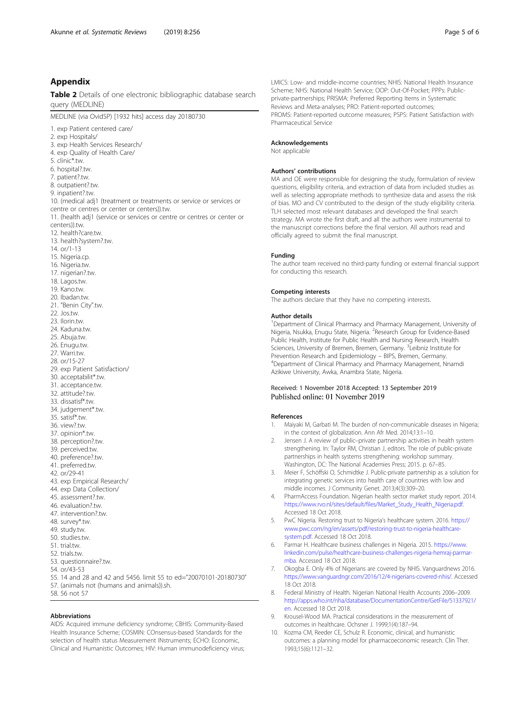### <span id="page-4-0"></span>Appendix

Table 2 Details of one electronic bibliographic database search query (MEDLINE)

MEDLINE (via OvidSP) [1932 hits] access day 20180730

1. exp Patient centered care/

2. exp Hospitals/

3. exp Health Services Research/

- 4. exp Quality of Health Care/
- 5. clinic\*.tw.
- 6. hospital?.tw.
- 7. patient?.tw.
- 8. outpatient?.tw.
- 9. inpatient?.tw.
- 

10. (medical adj1 (treatment or treatments or service or services or centre or centres or center or centers)).tw.

- 11. (health adj1 (service or services or centre or centres or center or centers)).tw.
- 12. health?care.tw.
- 13. health?system?.tw.
- 14. or/1-13
- 15. Nigeria.cp.
- 16. Nigeria.tw.
- 
- 17. nigerian?.tw.
- 18. Lagos.tw.
- 19. Kano.tw.
- 20. Ibadan.tw.
- 21. "Benin City".tw.
- 22. Jos.tw.
- 23. Ilorin.tw.
- 24. Kaduna.tw.
- 25. Abuja.tw.
- 26. Enugu.tw.
- 27. Warri.tw.
- 28. or/15-27
- 29. exp Patient Satisfaction/
- 30. acceptabilit\*.tw.
- 31. acceptance.tw.
- 32. attitude?.tw.
- 33. dissatisf\*.tw.
- 34. judgement\*.tw.
- 35. satisf\*.tw.
- 36. view?.tw.
- 37. opinion\*.tw.
- 38. perception?.tw.
- 39. perceived.tw.
- 40. preference?.tw.
- 41. preferred.tw.
- 42. or/29-41
- 43. exp Empirical Research/
- 44. exp Data Collection/
- 45. assessment?.tw.
- 46. evaluation? tw
- 47. intervention?.tw.
- 48. survey\*.tw.
- 49. study.tw.
- 50. studies.tw.
- 51. trial.tw.
- 52. trials.tw.
- 
- 53. questionnaire?.tw.
- 54. or/43-53
- 55. 14 and 28 and 42 and 5456. limit 55 to ed="20070101-20180730"
- 57. (animals not (humans and animals)) sh.
- 58. 56 not 57

#### Abbreviations

AIDS: Acquired immune deficiency syndrome; CBHIS: Community-Based Health Insurance Scheme; COSMIN: COnsensus-based Standards for the selection of health status Measurement INstruments; ECHO: Economic, Clinical and Humanistic Outcomes; HIV: Human immunodeficiency virus; LMICS: Low- and middle-income countries; NHIS: National Health Insurance Scheme; NHS: National Health Service; OOP: Out-Of-Pocket; PPPs: Publicprivate-partnerships; PRISMA: Preferred Reporting Items in Systematic Reviews and Meta-analyses; PRO: Patient-reported outcomes; PROMS: Patient-reported outcome measures; PSPS: Patient Satisfaction with Pharmaceutical Service

#### Acknowledgements

Not applicable

#### Authors' contributions

MA and OE were responsible for designing the study, formulation of review questions, eligibility criteria, and extraction of data from included studies as well as selecting appropriate methods to synthesize data and assess the risk of bias. MO and CV contributed to the design of the study eligibility criteria. TLH selected most relevant databases and developed the final search strategy. MA wrote the first draft, and all the authors were instrumental to the manuscript corrections before the final version. All authors read and officially agreed to submit the final manuscript.

#### Funding

The author team received no third-party funding or external financial support for conducting this research.

#### Competing interests

The authors declare that they have no competing interests.

#### Author details

<sup>1</sup>Department of Clinical Pharmacy and Pharmacy Management, University of Nigeria, Nsukka, Enugu State, Nigeria. <sup>2</sup>Research Group for Evidence-Based Public Health, Institute for Public Health and Nursing Research, Health Sciences, University of Bremen, Bremen, Germany. <sup>3</sup>Leibniz Institute for Prevention Research and Epidemiology – BIPS, Bremen, Germany. <sup>4</sup> Department of Clinical Pharmacy and Pharmacy Management, Nnamdi Azikiwe University, Awka, Anambra State, Nigeria.

#### Received: 1 November 2018 Accepted: 13 September 2019 Published online: 01 November 2019

#### References

- 1. Maiyaki M, Garbati M. The burden of non-communicable diseases in Nigeria; in the context of globalization. Ann Afr Med. 2014;13:1–10.
- 2. Jensen J. A review of public–private partnership activities in health system strengthening. In: Taylor RM, Christian J, editors. The role of public-private partnerships in health systems strengthening: workshop summary. Washington, DC: The National Academies Press; 2015. p. 67–85.
- 3. Meier F, Schöffski O, Schmidtke J. Public-private partnership as a solution for integrating genetic services into health care of countries with low and middle incomes. J Community Genet. 2013;4(3):309–20.
- 4. PharmAccess Foundation. Nigerian health sector market study report. 2014. [https://www.rvo.nl/sites/default/files/Market\\_Study\\_Health\\_Nigeria.pdf](https://www.rvo.nl/sites/default/files/Market_Study_Health_Nigeria.pdf). Accessed 18 Oct 2018.
- 5. PwC Nigeria. Restoring trust to Nigeria's healthcare system. 2016. [https://](https://www.pwc.com/ng/en/assets/pdf/restoring-trust-to-nigeria-healthcare-system.pdf) [www.pwc.com/ng/en/assets/pdf/restoring-trust-to-nigeria-healthcare](https://www.pwc.com/ng/en/assets/pdf/restoring-trust-to-nigeria-healthcare-system.pdf)[system.pdf](https://www.pwc.com/ng/en/assets/pdf/restoring-trust-to-nigeria-healthcare-system.pdf). Accessed 18 Oct 2018.
- 6. Parmar H. Healthcare business challenges in Nigeria. 2015. [https://www.](https://www.linkedin.com/pulse/healthcare-business-challenges-nigeria-hemraj-parmar-mba) [linkedin.com/pulse/healthcare-business-challenges-nigeria-hemraj-parmar](https://www.linkedin.com/pulse/healthcare-business-challenges-nigeria-hemraj-parmar-mba)[mba.](https://www.linkedin.com/pulse/healthcare-business-challenges-nigeria-hemraj-parmar-mba) Accessed 18 Oct 2018.
- 7. Okogba E. Only 4% of Nigerians are covered by NHIS. Vanguardnews 2016. <https://www.vanguardngr.com/2016/12/4-nigerians-covered-nhis/>. Accessed 18 Oct 2018.
- 8. Federal Ministry of Health. Nigerian National Health Accounts 2006–2009. [http://apps.who.int/nha/database/DocumentationCentre/GetFile/51337921/](http://apps.who.int/nha/database/DocumentationCentre/GetFile/51337921/en) [en.](http://apps.who.int/nha/database/DocumentationCentre/GetFile/51337921/en) Accessed 18 Oct 2018.
- 9. Krousel-Wood MA. Practical considerations in the measurement of outcomes in healthcare. Ochsner J. 1999;1(4):187–94.
- 10. Kozma CM, Reeder CE, Schulz R. Economic, clinical, and humanistic outcomes: a planning model for pharmacoeconomic research. Clin Ther. 1993;15(6):1121–32.